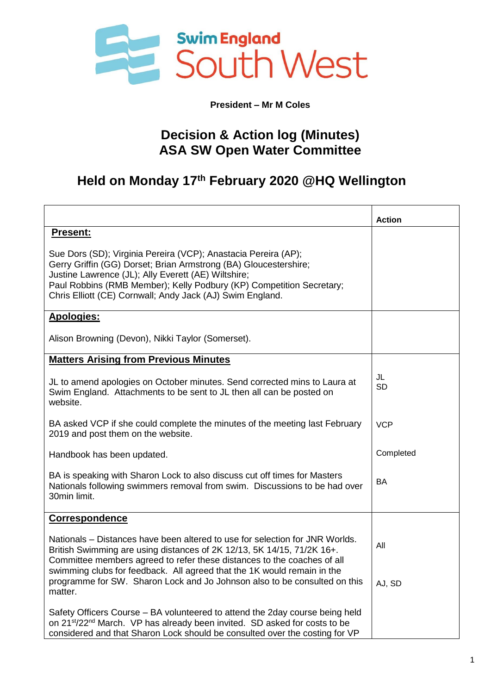

**President – Mr M Coles**

## **Decision & Action log (Minutes) ASA SW Open Water Committee**

## **Held on Monday 17th February 2020 @HQ Wellington**

|                                                                                                                                                                                                                                                                                                                                | <b>Action</b>   |
|--------------------------------------------------------------------------------------------------------------------------------------------------------------------------------------------------------------------------------------------------------------------------------------------------------------------------------|-----------------|
| Present:                                                                                                                                                                                                                                                                                                                       |                 |
| Sue Dors (SD); Virginia Pereira (VCP); Anastacia Pereira (AP);<br>Gerry Griffin (GG) Dorset; Brian Armstrong (BA) Gloucestershire;<br>Justine Lawrence (JL); Ally Everett (AE) Wiltshire;<br>Paul Robbins (RMB Member); Kelly Podbury (KP) Competition Secretary;<br>Chris Elliott (CE) Cornwall; Andy Jack (AJ) Swim England. |                 |
| <b>Apologies:</b>                                                                                                                                                                                                                                                                                                              |                 |
| Alison Browning (Devon), Nikki Taylor (Somerset).                                                                                                                                                                                                                                                                              |                 |
| <b>Matters Arising from Previous Minutes</b>                                                                                                                                                                                                                                                                                   |                 |
| JL to amend apologies on October minutes. Send corrected mins to Laura at<br>Swim England. Attachments to be sent to JL then all can be posted on<br>website.                                                                                                                                                                  | JL<br><b>SD</b> |
| BA asked VCP if she could complete the minutes of the meeting last February<br>2019 and post them on the website.                                                                                                                                                                                                              | <b>VCP</b>      |
| Handbook has been updated.                                                                                                                                                                                                                                                                                                     | Completed       |
| BA is speaking with Sharon Lock to also discuss cut off times for Masters<br>Nationals following swimmers removal from swim. Discussions to be had over<br>30min limit.                                                                                                                                                        | BA              |
| <b>Correspondence</b>                                                                                                                                                                                                                                                                                                          |                 |
| Nationals – Distances have been altered to use for selection for JNR Worlds.<br>British Swimming are using distances of 2K 12/13, 5K 14/15, 71/2K 16+.<br>Committee members agreed to refer these distances to the coaches of all<br>swimming clubs for feedback. All agreed that the 1K would remain in the                   | All             |
| programme for SW. Sharon Lock and Jo Johnson also to be consulted on this<br>matter.                                                                                                                                                                                                                                           | AJ, SD          |
| Safety Officers Course – BA volunteered to attend the 2day course being held<br>on 21 <sup>st</sup> /22 <sup>nd</sup> March. VP has already been invited. SD asked for costs to be<br>considered and that Sharon Lock should be consulted over the costing for VP                                                              |                 |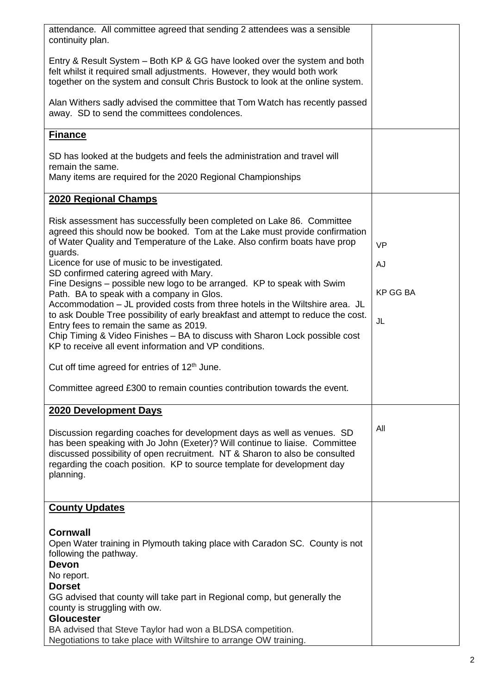| attendance. All committee agreed that sending 2 attendees was a sensible<br>continuity plan.                                                                                                                                                                                                                                  |                 |
|-------------------------------------------------------------------------------------------------------------------------------------------------------------------------------------------------------------------------------------------------------------------------------------------------------------------------------|-----------------|
| Entry & Result System – Both KP & GG have looked over the system and both<br>felt whilst it required small adjustments. However, they would both work<br>together on the system and consult Chris Bustock to look at the online system.                                                                                       |                 |
| Alan Withers sadly advised the committee that Tom Watch has recently passed<br>away. SD to send the committees condolences.                                                                                                                                                                                                   |                 |
| <b>Finance</b>                                                                                                                                                                                                                                                                                                                |                 |
| SD has looked at the budgets and feels the administration and travel will                                                                                                                                                                                                                                                     |                 |
| remain the same.<br>Many items are required for the 2020 Regional Championships                                                                                                                                                                                                                                               |                 |
| 2020 Regional Champs                                                                                                                                                                                                                                                                                                          |                 |
| Risk assessment has successfully been completed on Lake 86. Committee<br>agreed this should now be booked. Tom at the Lake must provide confirmation<br>of Water Quality and Temperature of the Lake. Also confirm boats have prop                                                                                            |                 |
| guards.                                                                                                                                                                                                                                                                                                                       | <b>VP</b>       |
| Licence for use of music to be investigated.<br>SD confirmed catering agreed with Mary.                                                                                                                                                                                                                                       | <b>AJ</b>       |
| Fine Designs – possible new logo to be arranged. KP to speak with Swim<br>Path. BA to speak with a company in Glos.                                                                                                                                                                                                           | <b>KP GG BA</b> |
| Accommodation - JL provided costs from three hotels in the Wiltshire area. JL<br>to ask Double Tree possibility of early breakfast and attempt to reduce the cost.                                                                                                                                                            |                 |
| Entry fees to remain the same as 2019.<br>Chip Timing & Video Finishes - BA to discuss with Sharon Lock possible cost                                                                                                                                                                                                         | JL              |
| KP to receive all event information and VP conditions.                                                                                                                                                                                                                                                                        |                 |
| Cut off time agreed for entries of 12 <sup>th</sup> June.                                                                                                                                                                                                                                                                     |                 |
| Committee agreed £300 to remain counties contribution towards the event.                                                                                                                                                                                                                                                      |                 |
| 2020 Development Days                                                                                                                                                                                                                                                                                                         |                 |
| Discussion regarding coaches for development days as well as venues. SD<br>has been speaking with Jo John (Exeter)? Will continue to liaise. Committee<br>discussed possibility of open recruitment. NT & Sharon to also be consulted<br>regarding the coach position. KP to source template for development day<br>planning. | All             |
| <b>County Updates</b>                                                                                                                                                                                                                                                                                                         |                 |
| <b>Cornwall</b><br>Open Water training in Plymouth taking place with Caradon SC. County is not<br>following the pathway.<br><b>Devon</b><br>No report.                                                                                                                                                                        |                 |
| <b>Dorset</b><br>GG advised that county will take part in Regional comp, but generally the<br>county is struggling with ow.<br><b>Gloucester</b>                                                                                                                                                                              |                 |
| BA advised that Steve Taylor had won a BLDSA competition.<br>Negotiations to take place with Wiltshire to arrange OW training.                                                                                                                                                                                                |                 |